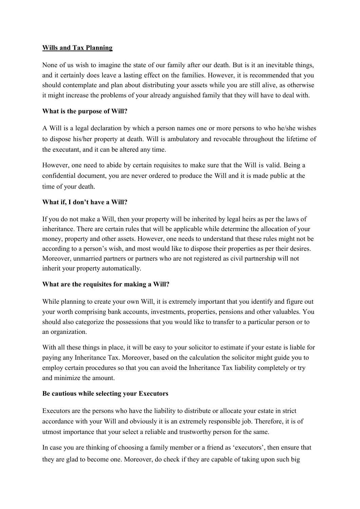### **Wills and Tax Planning**

None of us wish to imagine the state of our family after our death. But is it an inevitable things, and it certainly does leave a lasting effect on the families. However, it is recommended that you should contemplate and plan about distributing your assets while you are still alive, as otherwise it might increase the problems of your already anguished family that they will have to deal with.

### **What is the purpose of Will?**

A Will is a legal declaration by which a person names one or more persons to who he/she wishes to dispose his/her property at death. Will is ambulatory and revocable throughout the lifetime of the executant, and it can be altered any time.

However, one need to abide by certain requisites to make sure that the Will is valid. Being a confidential document, you are never ordered to produce the Will and it is made public at the time of your death.

## **What if, I don't have a Will?**

If you do not make a Will, then your property will be inherited by legal heirs as per the laws of inheritance. There are certain rules that will be applicable while determine the allocation of your money, property and other assets. However, one needs to understand that these rules might not be according to a person's wish, and most would like to dispose their properties as per their desires. Moreover, unmarried partners or partners who are not registered as civil partnership will not inherit your property automatically.

## **What are the requisites for making a Will?**

While planning to create your own Will, it is extremely important that you identify and figure out your worth comprising bank accounts, investments, properties, pensions and other valuables. You should also categorize the possessions that you would like to transfer to a particular person or to an organization.

With all these things in place, it will be easy to your solicitor to estimate if your estate is liable for paying any Inheritance Tax. Moreover, based on the calculation the solicitor might guide you to employ certain procedures so that you can avoid the Inheritance Tax liability completely or try and minimize the amount.

## **Be cautious while selecting your Executors**

Executors are the persons who have the liability to distribute or allocate your estate in strict accordance with your Will and obviously it is an extremely responsible job. Therefore, it is of utmost importance that your select a reliable and trustworthy person for the same.

In case you are thinking of choosing a family member or a friend as 'executors', then ensure that they are glad to become one. Moreover, do check if they are capable of taking upon such big